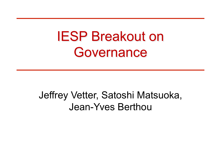## IESP Breakout on Governance

### Jeffrey Vetter, Satoshi Matsuoka, Jean-Yves Berthou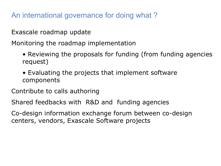An international governance for doing what ?

Exascale roadmap update

Monitoring the roadmap implementation

- Reviewing the proposals for funding (from funding agencies request)
- Evaluating the projects that implement software components

Contribute to calls authoring

Shared feedbacks with R&D and funding agencies

Co-design information exchange forum between co-design centers, vendors, Exascale Software projects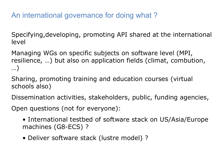An international governance for doing what ?

Specifying,developing, promoting API shared at the international level

Managing WGs on specific subjects on software level (MPI, resilience, …) but also on application fields (climat, combution, …)

Sharing, promoting training and education courses (virtual schools also)

Dissemination activities, stakeholders, public, funding agencies,

Open questions (not for everyone):

- International testbed of software stack on US/Asia/Europe machines (G8-ECS) ?
- Deliver software stack (lustre model) ?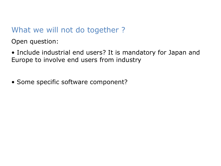#### What we will not do together ?

Open question:

• Include industrial end users? It is mandatory for Japan and Europe to involve end users from industry

• Some specific software component?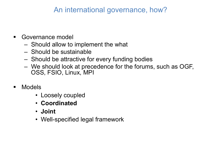#### An international governance, how?

- **E** Governance model
	- Should allow to implement the what
	- Should be sustainable
	- Should be attractive for every funding bodies
	- We should look at precedence for the forums, such as OGF, OSS, FSIO, Linux, MPI
- **E** Models
	- Loosely coupled
	- **Coordinated**
	- **Joint**
	- Well-specified legal framework